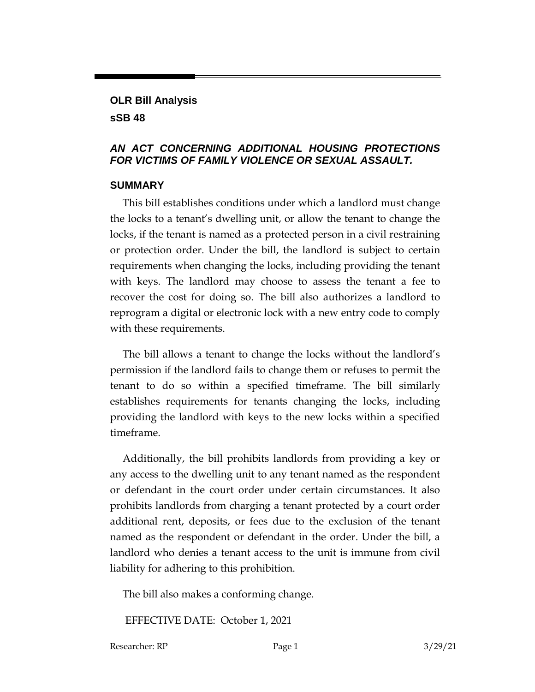### **OLR Bill Analysis sSB 48**

### *AN ACT CONCERNING ADDITIONAL HOUSING PROTECTIONS FOR VICTIMS OF FAMILY VIOLENCE OR SEXUAL ASSAULT.*

### **SUMMARY**

This bill establishes conditions under which a landlord must change the locks to a tenant's dwelling unit, or allow the tenant to change the locks, if the tenant is named as a protected person in a civil restraining or protection order. Under the bill, the landlord is subject to certain requirements when changing the locks, including providing the tenant with keys. The landlord may choose to assess the tenant a fee to recover the cost for doing so. The bill also authorizes a landlord to reprogram a digital or electronic lock with a new entry code to comply with these requirements.

The bill allows a tenant to change the locks without the landlord's permission if the landlord fails to change them or refuses to permit the tenant to do so within a specified timeframe. The bill similarly establishes requirements for tenants changing the locks, including providing the landlord with keys to the new locks within a specified timeframe.

Additionally, the bill prohibits landlords from providing a key or any access to the dwelling unit to any tenant named as the respondent or defendant in the court order under certain circumstances. It also prohibits landlords from charging a tenant protected by a court order additional rent, deposits, or fees due to the exclusion of the tenant named as the respondent or defendant in the order. Under the bill, a landlord who denies a tenant access to the unit is immune from civil liability for adhering to this prohibition.

The bill also makes a conforming change.

EFFECTIVE DATE: October 1, 2021

Researcher: RP Page 1 3/29/21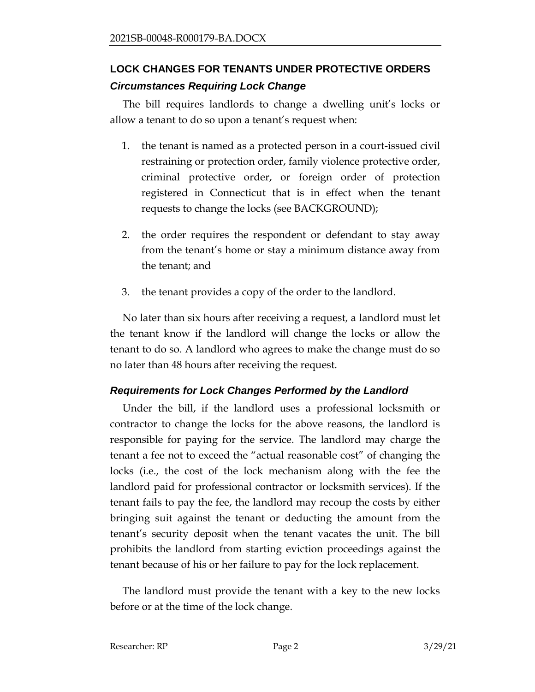# **LOCK CHANGES FOR TENANTS UNDER PROTECTIVE ORDERS** *Circumstances Requiring Lock Change*

The bill requires landlords to change a dwelling unit's locks or allow a tenant to do so upon a tenant's request when:

- 1. the tenant is named as a protected person in a court-issued civil restraining or protection order, family violence protective order, criminal protective order, or foreign order of protection registered in Connecticut that is in effect when the tenant requests to change the locks (see BACKGROUND);
- 2. the order requires the respondent or defendant to stay away from the tenant's home or stay a minimum distance away from the tenant; and
- 3. the tenant provides a copy of the order to the landlord.

No later than six hours after receiving a request, a landlord must let the tenant know if the landlord will change the locks or allow the tenant to do so. A landlord who agrees to make the change must do so no later than 48 hours after receiving the request.

# *Requirements for Lock Changes Performed by the Landlord*

Under the bill, if the landlord uses a professional locksmith or contractor to change the locks for the above reasons, the landlord is responsible for paying for the service. The landlord may charge the tenant a fee not to exceed the "actual reasonable cost" of changing the locks (i.e., the cost of the lock mechanism along with the fee the landlord paid for professional contractor or locksmith services). If the tenant fails to pay the fee, the landlord may recoup the costs by either bringing suit against the tenant or deducting the amount from the tenant's security deposit when the tenant vacates the unit. The bill prohibits the landlord from starting eviction proceedings against the tenant because of his or her failure to pay for the lock replacement.

The landlord must provide the tenant with a key to the new locks before or at the time of the lock change.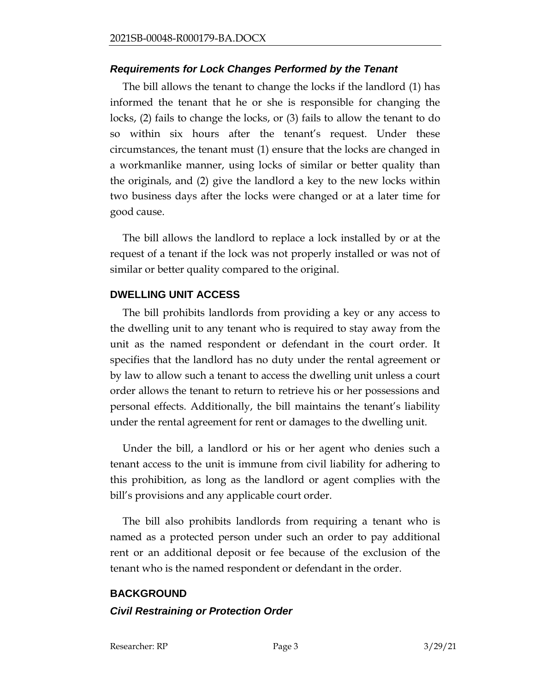#### *Requirements for Lock Changes Performed by the Tenant*

The bill allows the tenant to change the locks if the landlord (1) has informed the tenant that he or she is responsible for changing the locks, (2) fails to change the locks, or (3) fails to allow the tenant to do so within six hours after the tenant's request. Under these circumstances, the tenant must (1) ensure that the locks are changed in a workmanlike manner, using locks of similar or better quality than the originals, and (2) give the landlord a key to the new locks within two business days after the locks were changed or at a later time for good cause.

The bill allows the landlord to replace a lock installed by or at the request of a tenant if the lock was not properly installed or was not of similar or better quality compared to the original.

#### **DWELLING UNIT ACCESS**

The bill prohibits landlords from providing a key or any access to the dwelling unit to any tenant who is required to stay away from the unit as the named respondent or defendant in the court order. It specifies that the landlord has no duty under the rental agreement or by law to allow such a tenant to access the dwelling unit unless a court order allows the tenant to return to retrieve his or her possessions and personal effects. Additionally, the bill maintains the tenant's liability under the rental agreement for rent or damages to the dwelling unit.

Under the bill, a landlord or his or her agent who denies such a tenant access to the unit is immune from civil liability for adhering to this prohibition, as long as the landlord or agent complies with the bill's provisions and any applicable court order.

The bill also prohibits landlords from requiring a tenant who is named as a protected person under such an order to pay additional rent or an additional deposit or fee because of the exclusion of the tenant who is the named respondent or defendant in the order.

#### **BACKGROUND**

#### *Civil Restraining or Protection Order*